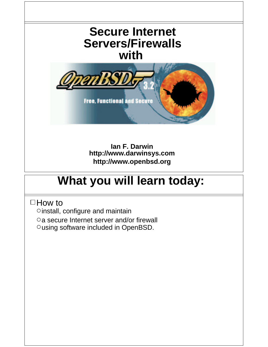

**http://www.openbsd.org**

#### **What you will learn today:**

 $\Box$  How to

Oinstall, configure and maintain

a secure Internet server and/or firewall

Ousing software included in OpenBSD.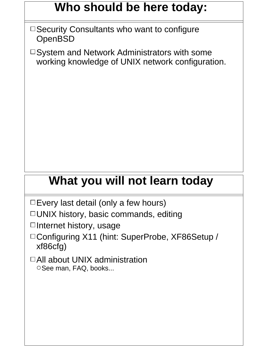#### **Who should be here today:**

- $\Box$  Security Consultants who want to configure **OpenBSD**
- $\Box$  System and Network Administrators with some working knowledge of UNIX network configuration.

## **What you will not learn today**

 $\square$  Every last detail (only a few hours)

 $\Box$  UNIX history, basic commands, editing

 $\Box$ Internet history, usage

□ Configuring X11 (hint: SuperProbe, XF86Setup / xf86cfg)

□ All about UNIX administration OSee man, FAQ, books...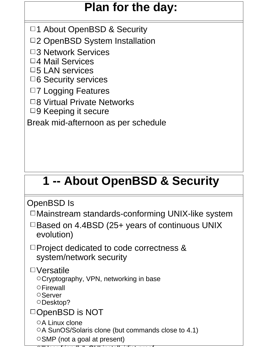### **Plan for the day:**

- □1 About OpenBSD & Security
- □2 OpenBSD System Installation
- □3 Network Services
- □4 Mail Services
- $\square$ 5 LAN services
- $\Box$ 6 Security services
- □7 Logging Features
- □8 Virtual Private Networks
- $\Box$ 9 Keeping it secure

Break mid-afternoon as per schedule

## **1 -- About OpenBSD & Security**

OpenBSD Is

- $\Box$ Mainstream standards-conforming UNIX-like system
- $\Box$  Based on 4.4BSD (25+ years of continuous UNIX evolution)
- $\Box$  Project dedicated to code correctness & system/network security

Versatile

- Cryptography, VPN, networking in base
- **OFirewall**
- **O**Server
- ODesktop?

#### □OpenBSD is NOT

- OA Linux clone
- ○A SunOS/Solaris clone (but commands close to 4.1)
- SMP (not a goal at present)
- $\blacksquare$  User-friendly  $\blacksquare$  in  $\blacksquare$  install, install, install, install, install, install, install, install, install, install, install, install, install, install, install, install, install, install, install, install, ins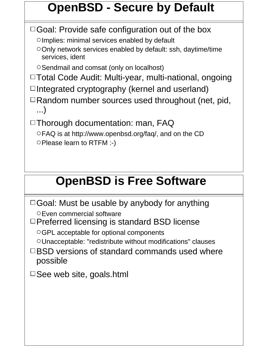## **OpenBSD - Secure by Default**

 $\Box$  Goal: Provide safe configuration out of the box

OImplies: minimal services enabled by default

Only network services enabled by default: ssh, daytime/time services, ident

O Sendmail and comsat (only on localhost)

□Total Code Audit: Multi-year, multi-national, ongoing

 $\Box$ Integrated cryptography (kernel and userland)

Random number sources used throughout (net, pid, ...)

 $\Box$ Thorough documentation: man, FAQ

FAQ is at http://www.openbsd.org/faq/, and on the CD Please learn to RTFM :-)

#### **OpenBSD is Free Software**

 $\Box$  Goal: Must be usable by anybody for anything Even commercial software

 $\Box$  Preferred licensing is standard BSD license

GPL acceptable for optional components

Unacceptable: "redistribute without modifications" clauses

 $\Box$ BSD versions of standard commands used where possible

 $\square$  See web site, goals.html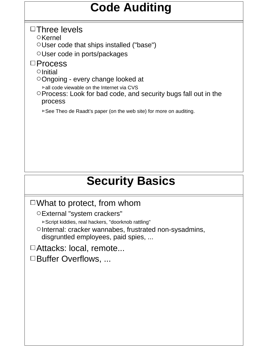### **Code Auditing**

#### $\Box$ Three levels

 $\circ$ Kernel

User code that ships installed ("base")

User code in ports/packages

#### □Process

 $\circ$ Initial

Ongoing - every change looked at

 $\triangleright$  all code viewable on the Internet via CVS

Process: Look for bad code, and security bugs fall out in the process

 $\triangleright$  See Theo de Raadt's paper (on the web site) for more on auditing.

## **Security Basics**

#### $\Box$  What to protect, from whom

External "system crackers"

Script kiddies, real hackers, "doorknob rattling"

OInternal: cracker wannabes, frustrated non-sysadmins, disgruntled employees, paid spies, ...

□Attacks: local, remote...

□Buffer Overflows, ...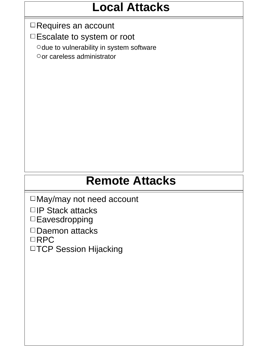#### **Local Attacks**

□Requires an account

□Escalate to system or root

Odue to vulnerability in system software

or careless administrator

## **Remote Attacks**

May/may not need account

□IP Stack attacks

□Eavesdropping

□Daemon attacks

□RPC

□TCP Session Hijacking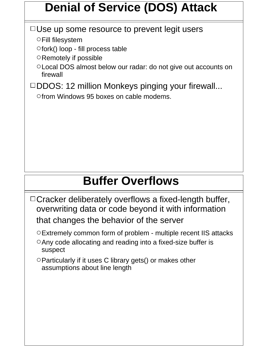### **Denial of Service (DOS) Attack**

#### $\Box$  Use up some resource to prevent legit users

Fill filesystem

 $\circ$  fork() loop - fill process table

O Remotely if possible

Local DOS almost below our radar: do not give out accounts on firewall

□DDOS: 12 million Monkeys pinging your firewall...

Ofrom Windows 95 boxes on cable modems.

### **Buffer Overflows**

 $\Box$  Cracker deliberately overflows a fixed-length buffer, overwriting data or code beyond it with information that changes the behavior of the server

Extremely common form of problem - multiple recent IIS attacks

- Any code allocating and reading into a fixed-size buffer is suspect
- $\circ$  Particularly if it uses C library gets() or makes other assumptions about line length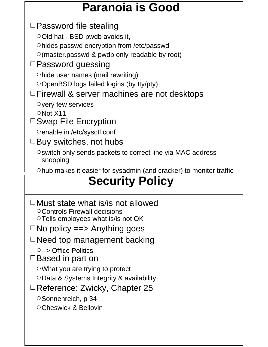## **Paranoia is Good**

 $\Box$  Password file stealing

Old hat - BSD pwdb avoids it,

hides passwd encryption from /etc/passwd

 $\circ$  (master.passwd & pwdb only readable by root)

#### $\square$  Password guessing

hide user names (mail rewriting)

OpenBSD logs failed logins (by tty/pty)

#### $\Box$  Firewall & server machines are not desktops

 $\circ$  very few services

ONot X11

□ Swap File Encryption

Oenable in /etc/sysctl.conf

 $\Box$  Buy switches, not hubs

Oswitch only sends packets to correct line via MAC address snooping

Ohub makes it easier for sysadmin (and cracker) to monitor traffic

## **Security Policy**

 $\Box$ Must state what is/is not allowed Controls Firewall decisions  $\circ$ Tells employees what is/is not OK

 $\square$  No policy = = > Anything goes

 $\Box$  Need top management backing

--> Office Politics

 $\Box$  Based in part on

What you are trying to protect

Data & Systems Integrity & availability

□Reference: Zwicky, Chapter 25

O Sonnenreich, p 34

OCheswick & Bellovin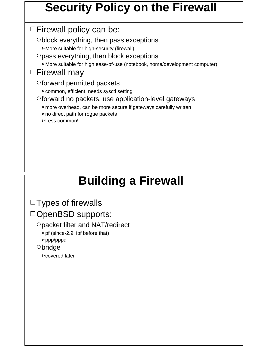### **Security Policy on the Firewall**

 $\Box$  Firewall policy can be:

 $\circ$  block everything, then pass exceptions

More suitable for high-security (firewall)

 $\circ$  pass everything, then block exceptions

More suitable for high ease-of-use (notebook, home/development computer)

#### $\Box$ Firewall may

forward permitted packets

common, efficient, needs sysctl setting

#### $\circ$  forward no packets, use application-level gateways

- more overhead, can be more secure if gateways carefully written
- $\triangleright$  no direct path for rogue packets
- Less common!

## **Building a Firewall**

#### $\Box$ Types of firewalls

DOpenBSD supports:

packet filter and NAT/redirect

 $\triangleright$  pf (since-2.9; ipf before that) ppp/pppd

bridge

covered later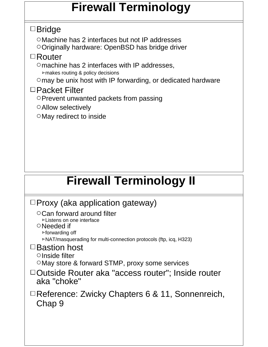#### **Firewall Terminology**

#### Bridge

Machine has 2 interfaces but not IP addresses Originally hardware: OpenBSD has bridge driver

#### Router

 $\circ$  machine has 2 interfaces with IP addresses, makes routing & policy decisions

Omay be unix host with IP forwarding, or dedicated hardware

#### □Packet Filter

OPrevent unwanted packets from passing

Allow selectively

May redirect to inside

## **Firewall Terminology II**

| $\Box$ Proxy (aka application gateway)                                                                |
|-------------------------------------------------------------------------------------------------------|
| $\circ$ Can forward around filter<br>⊵Listens on one interface                                        |
| $\circ$ Needed if<br>⊵forwarding off                                                                  |
| ⊳NAT/masquerading for multi-connection protocols (ftp, icq, H323)<br>$\Box$ Bastion host              |
| $\circ$ Inside filter                                                                                 |
|                                                                                                       |
| aka "choke"                                                                                           |
| $\Box$ Reference: Zwicky Chapters 6 & 11, Sonnenreich,<br>Chap 9                                      |
|                                                                                                       |
|                                                                                                       |
| ○ May store & forward STMP, proxy some services<br>□Outside Router aka "access router": Inside router |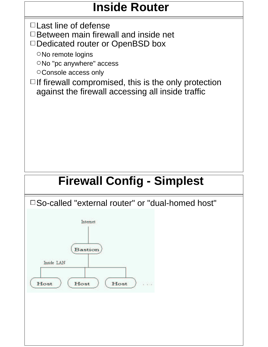### **Inside Router**

 $\Box$  Last line of defense

 $\Box$  Between main firewall and inside net

□Dedicated router or OpenBSD box

ONo remote logins

ONo "pc anywhere" access

O Console access only

 $\Box$  If firewall compromised, this is the only protection against the firewall accessing all inside traffic

## **Firewall Config - Simplest**

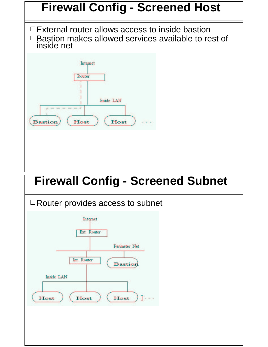



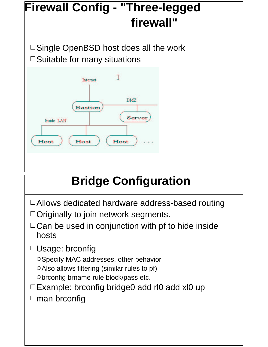

## **Bridge Configuration**

Allows dedicated hardware address-based routing  $\Box$  Originally to join network segments.

 $\Box$  Can be used in conjunction with pf to hide inside hosts

□Usage: brconfig

O Specify MAC addresses, other behavior

O Also allows filtering (similar rules to pf)

Obrconfig brname rule block/pass etc.

□ Example: brconfig bridge0 add rl0 add xl0 up  $\Box$ man brconfig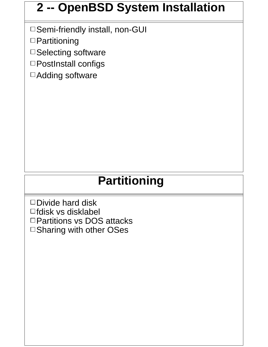#### **2 -- OpenBSD System Installation**

□ Semi-friendly install, non-GUI

□ Partitioning

□ Selecting software

PostInstall configs

Adding software

### **Partitioning**

 $\square$ Divide hard disk  $\Box$ fdisk vs disklabel □ Partitions vs DOS attacks  $\square$  Sharing with other OSes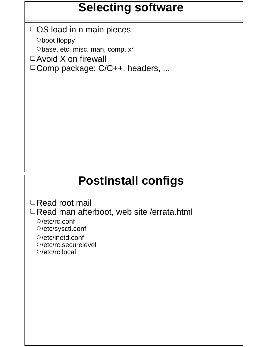### **Selecting software**

 $\Box$  OS load in n main pieces boot floppy Obase, etc, misc, man, comp,  $x^*$  $\Box$  Avoid X on firewall □ Comp package: C/C++, headers, ...

#### **PostInstall configs**

□Read root mail

□Read man afterboot, web site /errata.html

- /etc/rc.conf /etc/sysctl.conf
- /etc/inetd.conf /etc/rc.securelevel /etc/rc.local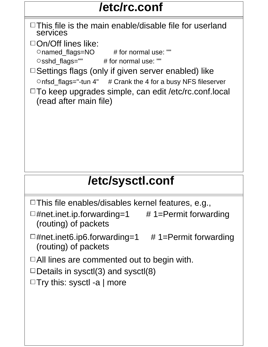### **/etc/rc.conf**

 $\Box$ This file is the main enable/disable file for userland services

 $\Box$ On/Off lines like:

Onamed\_flags=NO # for normal use: ""

Osshd\_flags="" # for normal use: ""

 $\Box$  Settings flags (only if given server enabled) like  $O$ nfsd\_flags="-tun 4" # Crank the 4 for a busy NFS fileserver

□To keep upgrades simple, can edit /etc/rc.conf.local (read after main file)

## **/etc/sysctl.conf**

 $\Box$  This file enables/disables kernel features, e.g.,

 $\Box$ #net.inet.ip.forwarding=1 # 1=Permit forwarding (routing) of packets

 $\Box$ #net.inet6.ip6.forwarding=1 # 1=Permit forwarding (routing) of packets

 $\Box$  All lines are commented out to begin with.

 $\Box$  Details in sysctl(3) and sysctl(8)

 $\Box$  Try this: sysctl -a | more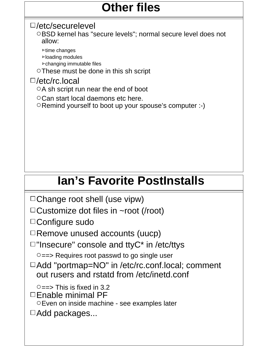### **Other files**

#### /etc/securelevel

OBSD kernel has "secure levels"; normal secure level does not allow:

- $\triangleright$  time changes
- loading modules
- changing immutable files

These must be done in this sh script

#### /etc/rc.local

 $\circ$ A sh script run near the end of boot

Can start local daemons etc here.

Remind yourself to boot up your spouse's computer :-)

## **Ian's Favorite PostInstalls**

 $\Box$ Change root shell (use vipw)

 $\Box$ Customize dot files in ~root (/root)

□ Configure sudo

 $\Box$  Remove unused accounts (uucp)

 $\Box$ "Insecure" console and ttyC\* in /etc/ttys

 $\circ$  ==> Requires root passwd to go single user

□ Add "portmap=NO" in /etc/rc.conf.local; comment out rusers and rstatd from /etc/inetd.conf

 $\circ$  ==> This is fixed in 3.2  $\Box$  Enable minimal PF Even on inside machine - see examples later  $\Box$ Add packages...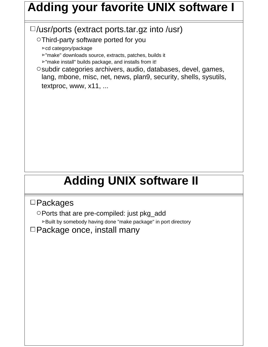### **Adding your favorite UNIX software I**

#### $\square$ /usr/ports (extract ports.tar.gz into /usr)

Third-party software ported for you

cd category/package

"make" downloads source, extracts, patches, builds it

**>'make install'** builds package, and installs from it!

O subdir categories archivers, audio, databases, devel, games, lang, mbone, misc, net, news, plan9, security, shells, sysutils, textproc, www, x11, ...

## **Adding UNIX software II**

#### □ Packages

Ports that are pre-compiled: just pkg\_add Built by somebody having done "make package" in port directory

 $\Box$ Package once, install many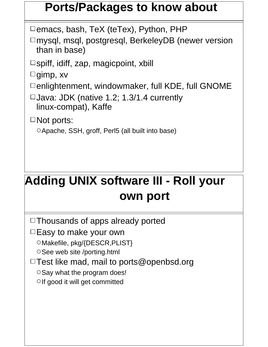#### **Ports/Packages to know about**

 $\square$  emacs, bash, TeX (teTex), Python, PHP

□mysql, msql, postgresql, BerkeleyDB (newer version than in base)

 $\square$ spiff, idiff, zap, magicpoint, xbill

 $\Box$ gimp, xv

 $\Box$ enlightenment, windowmaker, full KDE, full GNOME

 $\Box$ Java: JDK (native 1.2; 1.3/1.4 currently linux-compat), Kaffe

□Not ports:

Apache, SSH, groff, Perl5 (all built into base)

## **Adding UNIX software III - Roll your own port**

 $\Box$ Thousands of apps already ported

 $\Box$  Easy to make your own

OMakefile, pkg/{DESCR, PLIST}

OSee web site /porting.html

 $\Box$  Test like mad, mail to ports@openbsd.org

O Say what the program does!

 $\circ$  If good it will get committed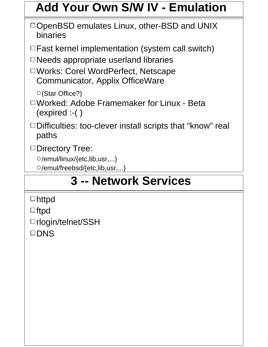### **Add Your Own S/W IV - Emulation**

- $\Box$  OpenBSD emulates Linux, other-BSD and UNIX binaries
- $\Box$  Fast kernel implementation (system call switch)
- $\Box$  Needs appropriate userland libraries
- Works: Corel WordPerfect, Netscape Communicator, Applix OfficeWare

(Star Office?)

- Worked: Adobe Framemaker for Linux Beta (expired :-( )
- □Difficulties: too-clever install scripts that "know" real paths
- □Directory Tree:
	- /emul/linux/{etc,lib,usr,...}
	- /emul/freebsd/{etc,lib,usr,...}

#### **Package Services** FreeBSD libs libs libs libs **3 -- Network Services**

- $\mathsf{R}\mathsf{H}\mathsf{P}\mathsf{C}\mathsf{H}$ httpd
- ftpd
- □rlogin/telnet/SSH
- □DNS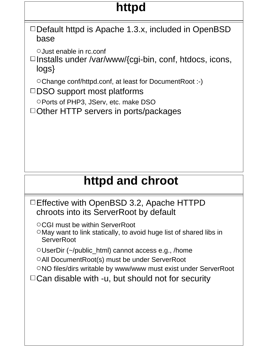## **httpd**

 $\Box$  Default httpd is Apache 1.3.x, included in OpenBSD base

Just enable in rc.conf

 $\Box$ Installs under /var/www/{cgi-bin, conf, htdocs, icons, logs}

Change conf/httpd.conf, at least for DocumentRoot :-)

- $\square$ DSO support most platforms
	- OPorts of PHP3, JServ, etc. make DSO

 $\Box$  Other HTTP servers in ports/packages

#### **httpd and chroot**

- □ Effective with OpenBSD 3.2, Apache HTTPD chroots into its ServerRoot by default
	- CGI must be within ServerRoot
	- May want to link statically, to avoid huge list of shared libs in **ServerRoot**

 $\circ$ UserDir (~/public\_html) cannot access e.g., /home

All DocumentRoot(s) must be under ServerRoot

ONO files/dirs writable by www/www must exist under ServerRoot

 $\Box$  Can disable with -u, but should not for security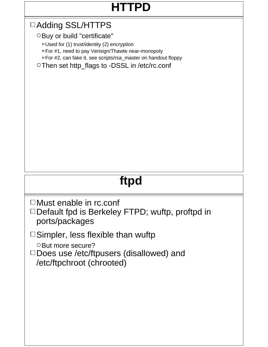## **HTTPD**

#### Adding SSL/HTTPS

O Buy or build "certificate"

 $\nu$ Used for (1) trust/identity (2) encryption

For #1, need to pay Verisign/Thawte near-monopoly

For #2, can fake it, see scripts/rsa\_master on handout floppy

○ Then set http\_flags to -DSSL in /etc/rc.conf

## **ftpd**

- □Must enable in rc.conf
- □ Default fpd is Berkeley FTPD; wuftp, proftpd in ports/packages

 $\Box$  Simpler, less flexible than wuftp

O But more secure?

□ Does use /etc/ftpusers (disallowed) and /etc/ftpchroot (chrooted)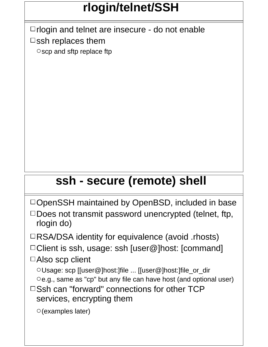## **rlogin/telnet/SSH**

 $\Box$  rlogin and telnet are insecure - do not enable  $\square$ ssh replaces them

 $\circ$ scp and sftp replace ftp

## **ssh - secure (remote) shell**

- $\Box$ OpenSSH maintained by OpenBSD, included in base
- $\Box$  Does not transmit password unencrypted (telnet, ftp, rlogin do)
- $\Box$ RSA/DSA identity for equivalence (avoid .rhosts)
- $\Box$  Client is ssh, usage: ssh [user@]host: [command]
- □Also scp client
	- Usage: scp [[user@]host:]file ... [[user@]host:]file\_or\_dir  $\circ$ e.g., same as "cp" but any file can have host (and optional user)
- $\Box$  Ssh can "forward" connections for other TCP services, encrypting them

```
(examples later)
```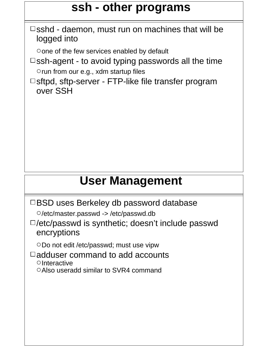#### **ssh - other programs**

 $\square$ sshd - daemon, must run on machines that will be logged into

Oone of the few services enabled by default

 $\square$ ssh-agent - to avoid typing passwords all the time  $\circ$  run from our e.g., xdm startup files

 $\square$ sftpd, sftp-server - FTP-like file transfer program over SSH

## **User Management**

BSD uses Berkeley db password database

/etc/master.passwd -> /etc/passwd.db

 $\square$ /etc/passwd is synthetic; doesn't include passwd encryptions

ODo not edit /etc/passwd; must use vipw

 $\Box$ adduser command to add accounts  $\circ$ Interactive O Also useradd similar to SVR4 command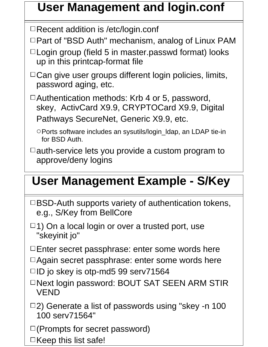### **User Management and login.conf**

□Recent addition is /etc/login.conf

 $\Box$  Part of "BSD Auth" mechanism, analog of Linux PAM

- $\Box$  Login group (field 5 in master passwd format) looks up in this printcap-format file
- $\Box$  Can give user groups different login policies, limits, password aging, etc.

□ Authentication methods: Krb 4 or 5, password, skey, ActivCard X9.9, CRYPTOCard X9.9, Digital Pathways SecureNet, Generic X9.9, etc.

Ports software includes an sysutils/login\_ldap, an LDAP tie-in for BSD Auth.

 $\Box$  auth-service lets you provide a custom program to approve/deny logins

### **User Management Example - S/Key**

- $\Box$ BSD-Auth supports variety of authentication tokens, e.g., S/Key from BellCore
- $\Box$ 1) On a local login or over a trusted port, use "skeyinit jo"

 $\Box$  Enter secret passphrase: enter some words here

- □ Again secret passphrase: enter some words here
- $\Box$ ID jo skey is otp-md5 99 serv71564
- □Next login password: BOUT SAT SEEN ARM STIR VEND
- $\Box$ 2) Generate a list of passwords using "skey -n 100 100 serv71564"

 $\square$  (Prompts for secret password)

 $\Box$ Keep this list safe!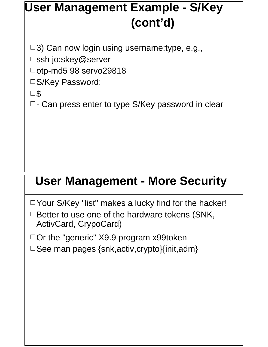## **User Management Example - S/Key (cont'd)**

 $\Box$ 3) Can now login using username:type, e.g.,

□ssh jo:skey@server

□otp-md5 98 servo29818

S/Key Password:

 $\square$ 

 $\Box$ - Can press enter to type S/Key password in clear

#### **User Management - More Security**

 $\Box$  Your S/Key "list" makes a lucky find for the hacker!  $\Box$  Better to use one of the hardware tokens (SNK, ActivCard, CrypoCard)

 $\Box$  Or the "generic" X9.9 program x99token  $\square$  See man pages {snk, activ, crypto}{init, adm}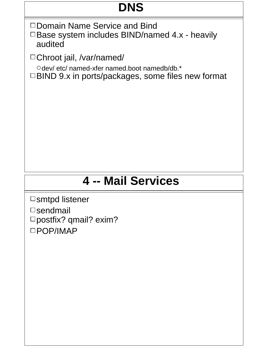## **DNS**

□ Domain Name Service and Bind  $\Box$  Base system includes BIND/named 4.x - heavily audited

Chroot jail, /var/named/

Odev/ etc/ named-xfer named.boot namedb/db.\* □BIND 9.x in ports/packages, some files new format

### **4 -- Mail Services**

□smtpd listener  $\square$ sendmail □ postfix? qmail? exim? POP/IMAP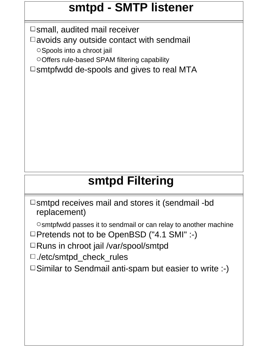### **smtpd - SMTP listener**

 $\square$  small, audited mail receiver

 $\Box$  avoids any outside contact with sendmail

OSpools into a chroot jail

Offers rule-based SPAM filtering capability

 $\square$ smtpfwdd de-spools and gives to real MTA

### **smtpd Filtering**

 $\square$ smtpd receives mail and stores it (sendmail -bd replacement)

 $\circ$ smtpfwdd passes it to sendmail or can relay to another machine □Pretends not to be OpenBSD ("4.1 SMI" :-)

□Runs in chroot jail /var/spool/smtpd

□./etc/smtpd\_check\_rules

 $\square$  Similar to Sendmail anti-spam but easier to write :-)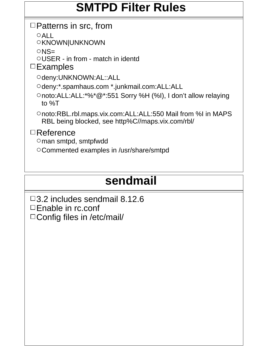#### **SMTPD Filter Rules**

#### $\Box$  Patterns in src, from

 $OALL$ 

OKNOWN|UNKNOWN

 $ONS=$ 

USER - in from - match in identd

 $\square$ Examples

Odeny:UNKNOWN:AL::ALL

Odeny:\*.spamhaus.com \*.junkmail.com:ALL:ALL

noto:ALL:ALL:\*%\*@\*:551 Sorry %H (%I), I don't allow relaying to %T

noto:RBL.rbl.maps.vix.com:ALL:ALL:550 Mail from %I in MAPS RBL being blocked, see http%C//maps.vix.com/rbl/

Reference

man smtpd, smtpfwdd

Commented examples in /usr/share/smtpd

## **sendmail**

3.2 includes sendmail 8.12.6 □Enable in rc.conf □ Config files in /etc/mail/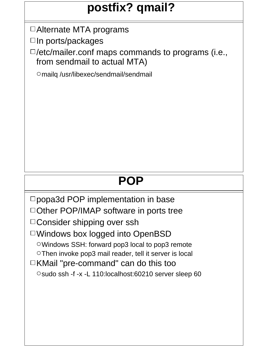### **postfix? qmail?**

Alternate MTA programs

 $\Box$ In ports/packages

 $\square$ /etc/mailer.conf maps commands to programs (i.e., from sendmail to actual MTA)

mailq /usr/libexec/sendmail/sendmail

## **POP**

□ popa3d POP implementation in base □ Other POP/IMAP software in ports tree □ Consider shipping over ssh Windows box logged into OpenBSD Windows SSH: forward pop3 local to pop3 remote Then invoke pop3 mail reader, tell it server is local KMail "pre-command" can do this too Osudo ssh -f -x -L 110:localhost:60210 server sleep 60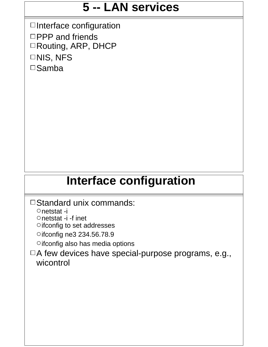#### **5 -- LAN services**

 $\Box$ Interface configuration  $\Box$ PPP and friends Routing, ARP, DHCP  $\Box$ NIS, NFS  $\square$ Samba

#### **Interface configuration**

- □ Standard unix commands:
	- netstat -i
	- Onetstat -i -f inet
	- Oifconfig to set addresses
	- Oifconfig ne3 234.56.78.9
	- Oifconfig also has media options
- $\Box A$  few devices have special-purpose programs, e.g., wicontrol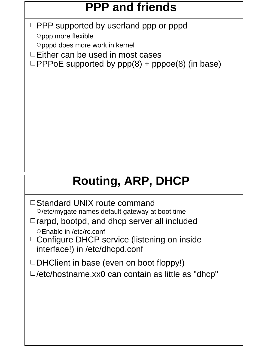## **PPP and friends**

 $\Box$ PPP supported by userland ppp or pppd

 $\circ$ ppp more flexible

pppd does more work in kernel

 $\Box$  Either can be used in most cases

 $\Box$ PPPoE supported by  $ppp(8)$  + pppoe(8) (in base)

## **Routing, ARP, DHCP**

- □ Standard UNIX route command  $\circ$ /etc/mygate names default gateway at boot time
- $\Box$  rarpd, bootpd, and dhcp server all included Enable in /etc/rc.conf
- □ Configure DHCP service (listening on inside interface!) in /etc/dhcpd.conf
- $\Box$ DHClient in base (even on boot floppy!)
- $\square$ /etc/hostname.xx0 can contain as little as "dhcp"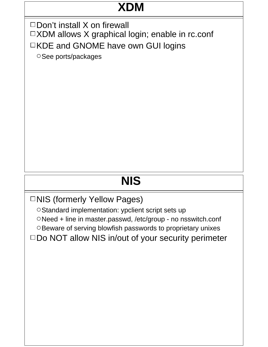## **XDM**

 $\square$  Don't install X on firewall □XDM allows X graphical login; enable in rc.conf □KDE and GNOME have own GUI logins

O See ports/packages

## **NIS**

□NIS (formerly Yellow Pages)

O Standard implementation: ypclient script sets up Need + line in master.passwd, /etc/group - no nsswitch.conf O Beware of serving blowfish passwords to proprietary unixes  $\square$  Do NOT allow NIS in/out of your security perimeter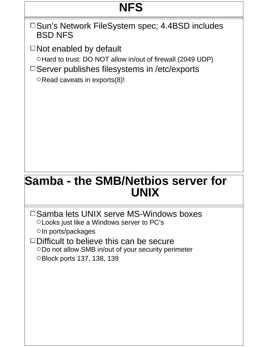## **NFS**

□Sun's Network FileSystem spec; 4.4BSD includes BSD NFS

 $\Box$  Not enabled by default

O Hard to trust: DO NOT allow in/out of firewall (2049 UDP)

 $\square$  Server publishes filesystems in /etc/exports

 $\circ$ Read caveats in exports(8)!

#### **Samba - the SMB/Netbios server for UNIX**

- $\square$  Samba lets UNIX serve MS-Windows boxes Looks just like a Windows server to PC's  $\circ$  In ports/packages
- $\Box$ Difficult to believe this can be secure ODo not allow SMB in/out of your security perimeter Block ports 137, 138, 139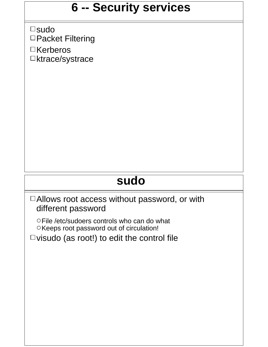#### **6 -- Security services**

□sudo □Packet Filtering

□Kerberos □ktrace/systrace

### **sudo**

□ Allows root access without password, or with different password

File /etc/sudoers controls who can do what OKeeps root password out of circulation!

 $\Box$  visudo (as root!) to edit the control file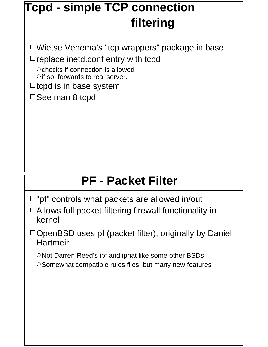## **Tcpd - simple TCP connection filtering**

Wietse Venema's "tcp wrappers" package in base  $\Box$  replace inetd.conf entry with tcpd

Ochecks if connection is allowed  $\circ$  if so, forwards to real server.

 $\Box$ tcpd is in base system

□See man 8 tcpd

### **PF - Packet Filter**

 $\Box$ "pf" controls what packets are allowed in/out

- □ Allows full packet filtering firewall functionality in kernel
- $\Box$ OpenBSD uses pf (packet filter), originally by Daniel **Hartmeir**

ONot Darren Reed's ipf and ipnat like some other BSDs

O Somewhat compatible rules files, but many new features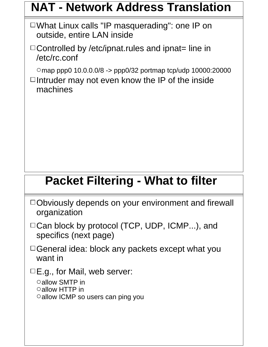#### **NAT - Network Address Translation**

What Linux calls "IP masquerading": one IP on outside, entire LAN inside

 $\Box$  Controlled by /etc/ipnat.rules and ipnat= line in /etc/rc.conf

map ppp0 10.0.0.0/8 -> ppp0/32 portmap tcp/udp 10000:20000

 $\Box$ Intruder may not even know the IP of the inside machines

### **Packet Filtering - What to filter**

| □Obviously depends on your environment and firewall |  |  |
|-----------------------------------------------------|--|--|
| organization                                        |  |  |

- □ Can block by protocol (TCP, UDP, ICMP...), and specifics (next page)
- $\Box$  General idea: block any packets except what you want in
- $\Box$  E.g., for Mail, web server:

```
allow SMTP in
allow HTTP in
Oallow ICMP so users can ping you
```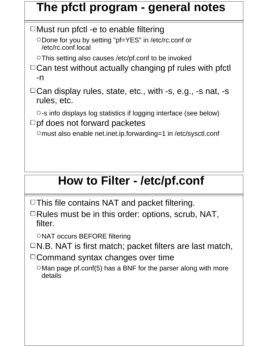#### **The pfctl program - general notes**

 $\Box$  Must run pfctl -e to enable filtering

○Done for you by setting "pf=YES" in /etc/rc.conf or /etc/rc.conf.local

This setting also causes /etc/pf.conf to be invoked

 $\Box$  Can test without actually changing pf rules with pfctl -n

□ Can display rules, state, etc., with -s, e.g., -s nat, -s rules, etc.

-s info displays log statistics if logging interface (see below)  $\square$ pf does not forward packetes

must also enable net.inet.ip.forwarding=1 in /etc/sysctl.conf

## **How to Filter - /etc/pf.conf**

 $\Box$  This file contains NAT and packet filtering.

 $\Box$  Rules must be in this order: options, scrub, NAT, filter.

ONAT occurs BEFORE filtering

 $\Box$ N.B. NAT is first match; packet filters are last match,

 $\Box$  Command syntax changes over time

 $\circ$  Man page pf.conf(5) has a BNF for the parser along with more details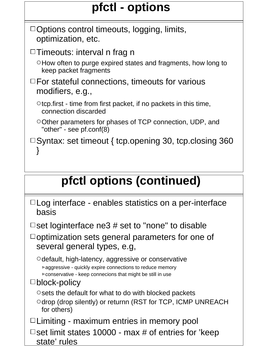## **pfctl - options**

## **pfctl options (continued)**

| $\Box$ Log interface - enables statistics on a per-interface |  |  |  |
|--------------------------------------------------------------|--|--|--|
| basis                                                        |  |  |  |

 $\Box$  set loginterface ne3 # set to "none" to disable

 $\Box$ optimization sets general parameters for one of several general types, e.g,

 $\circ$ default, high-latency, aggressive or conservative aggressive - quickly expire connections to reduce memory  $\triangleright$  conservative - keep connecions that might be still in use

#### □ block-policy

 $\circ$  sets the default for what to do with blocked packets

Odrop (drop silently) or returnn (RST for TCP, ICMP UNREACH for others)

 $\Box$  Limiting - maximum entries in memory pool

□ set limit states 10000 - max  $#$  of entries for 'keep state' rules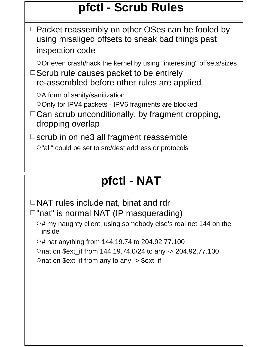### **pfctl - Scrub Rules**

 $\Box$  Packet reassembly on other OSes can be fooled by using misaliged offsets to sneak bad things past inspection code

 $\circ$  Or even crash/hack the kernel by using "interesting" offsets/sizes

 $\Box$  Scrub rule causes packet to be entirely re-assembled before other rules are applied

 $\circ$ A form of sanity/sanitization

- ○Only for IPV4 packets IPV6 fragments are blocked
- $\Box$  Can scrub unconditionally, by fragment cropping, dropping overlap

 $\Box$ scrub in on ne3 all fragment reassemble

 $\circ$ "all" could be set to src/dest address or protocols

### **pfctl - NAT**

 $\Box$ NAT rules include nat, binat and rdr

 $\square$ "nat" is normal NAT (IP masquerading)

 $\circ$ # my naughty client, using somebody else's real net 144 on the inside

 $\circ$ # nat anything from 144.19.74 to 204.92.77.100

nat on \$ext\_if from 144.19.74.0/24 to any -> 204.92.77.100

 $\circ$  nat on \$ext if from any to any -> \$ext if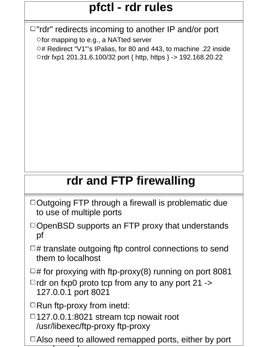## **pfctl - rdr rules**

 $\Box$ "rdr" redirects incoming to another IP and/or port

Ofor mapping to e.g., a NATted server O# Redirect "V1"'s IPalias, for 80 and 443, to machine .22 inside rdr fxp1 201.31.6.100/32 port { http, https } -> 192.168.20.22

## **rdr and FTP firewalling**

- $\Box$  Outgoing FTP through a firewall is problematic due to use of multiple ports
- $\Box$ OpenBSD supports an FTP proxy that understands pf
- $\Box$ # translate outgoing ftp control connections to send them to localhost

 $\Box$ # for proxying with ftp-proxy(8) running on port 8081

 $\Box$  rdr on fxp0 proto tcp from any to any port 21 -> 127.0.0.1 port 8021

 $\Box$  Run ftp-proxy from inetd:

number of the control of the control of the control of the control of the control of the control of the control of

 $\Box$ 127.0.0.1:8021 stream tcp nowait root /usr/libexec/ftp-proxy ftp-proxy

 $\Box$  Also need to allowed remapped ports, either by port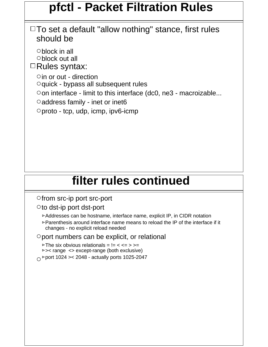#### **pfctl - Packet Filtration Rules**

 $\Box$  To set a default "allow nothing" stance, first rules should be

block in all block out all  $\Box$ Rules syntax:  $\circ$  in or out - direction  $\circ$ quick - bypass all subsequent rules  $\circ$  on interface - limit to this interface (dc0, ne3 - macroizable...  $\circ$  address family - inet or inet6  $\circ$  proto - tcp, udp, icmp, ipv6-icmp

#### **filter rules continued**

**ofrom src-ip port src-port** 

 $\circ$  to dst-ip port dst-port

Addresses can be hostname, interface name, explicit IP, in CIDR notation

 $\triangleright$  Parenthesis around interface name means to reload the IP of the interface if it changes - no explicit reload needed

 $\circ$  port numbers can be explicit, or relational

 $\triangleright$  The six obvious relationals =  $!=$  < <= > >=  $\triangleright$  > cange  $\leq$  except-range (both exclusive)  $\circ$  Pport 1024 > 2048 - actually ports 1025-2047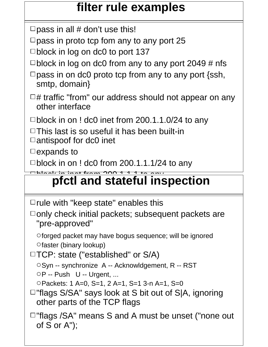#### **filter rule examples**

 $\Box$  pass in all # don't use this!

 $\Box$  pass in proto tcp fom any to any port 25

 $\Box$ block in log on dc0 to port 137

- $\Box$ block in log on dc0 from any to any port 2049 # nfs
- $\Box$  pass in on dc0 proto tcp from any to any port {ssh, smtp, domain}
- $\Box$ # traffic "from" our address should not appear on any other interface

 $\Box$ block in on ! dc0 inet from 200.1.1.0/24 to any

 $\Box$  This last is so useful it has been built-in  $\Box$  antispoof for dc0 inet

 $\square$ expands to

 $\Box$ block in on ! dc0 from 200.1.1.1/24 to any

#### block in in in in 2000 and in international and in international contract in the form of the second second in <br>The second international contract in the form of the form of the second second in the second second in the seco **pfctl and stateful inspection**

 $\Box$  rule with "keep state" enables this

 $\Box$  only check initial packets; subsequent packets are "pre-approved"

forged packet may have bogus sequence; will be ignored  $\circ$  faster (binary lookup)

 $\Box$ TCP: state ("established" or S/A)

OSyn -- synchronize A -- Acknowldgement, R -- RST  $\circ$ P -- Push U -- Urgent, ...

Packets: 1 A=0, S=1, 2 A=1, S=1 3-n A=1, S=0

 $\Box$ "flags S/SA" says look at S bit out of S|A, ignoring other parts of the TCP flags

 $\Box$ "flags /SA" means S and A must be unset ("none out of S or A");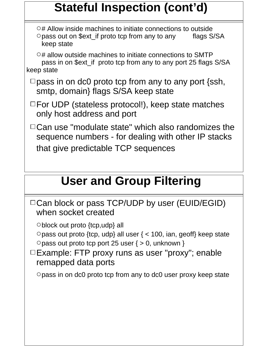## **Stateful Inspection (cont'd)**

 $\circ$ # Allow inside machines to initiate connections to outside Opass out on \$ext\_if proto tcp from any to any flags S/SA keep state

 $\circ$ # allow outside machines to initiate connections to SMTP pass in on \$ext\_if proto tcp from any to any port 25 flags S/SA keep state

- $\Box$  pass in on dc0 proto tcp from any to any port {ssh, smtp, domain} flags S/SA keep state
- $\Box$  For UDP (stateless protocol!), keep state matches only host address and port
- $\Box$  Can use "modulate state" which also randomizes the sequence numbers - for dealing with other IP stacks that give predictable TCP sequences

### **User and Group Filtering**

|                     | $\Box$ Can block or pass TCP/UDP by user (EUID/EGID) |
|---------------------|------------------------------------------------------|
| when socket created |                                                      |

block out proto {tcp,udp} all

 $\circ$  pass out proto {tcp, udp} all user { < 100, ian, geoff} keep state  $\circ$  pass out proto tcp port 25 user { > 0, unknown }

 $\Box$  Example: FTP proxy runs as user "proxy"; enable remapped data ports

 $\circ$  pass in on dc0 proto tcp from any to dc0 user proxy keep state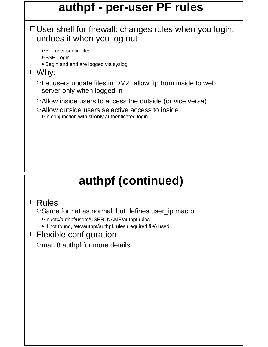#### **authpf - per-user PF rules**

#### User shell for firewall: changes rules when you login, undoes it when you log out

**⊳Per-user config files** 

- SSH Login
- **►Begin and end are logged via syslog**

#### Why:

- $\circ$  Let users update files in DMZ: allow ftp from inside to web server only when logged in
- Allow inside users to access the outside (or vice versa)
- Allow outside users selective access to inside  $\triangleright$  In conjunction with stronly authenticated login

## **authpf (continued)**

#### Rules

 $\circ$  Same format as normal, but defines user\_ip macro In /etc/authpf/users/USER\_NAME/authpf.rules

If not found, /etc/authpf/authpf.rules (required file) used

#### Flexible configuration

Oman 8 authpf for more details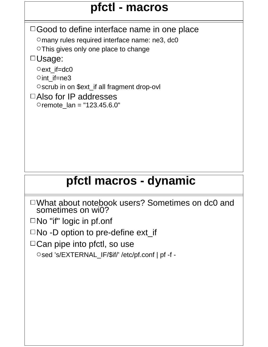### **pfctl - macros**

 $\Box$  Good to define interface name in one place Omany rules required interface name: ne3, dc0 O This gives only one place to change □Usage: Oext if=dc0  $\circ$  int if=ne3 Oscrub in on \$ext\_if all fragment drop-ovl □Also for IP addresses  $\circ$  remote  $lan = "123.45.6.0"$ 

### **pfctl macros - dynamic**

What about notebook users? Sometimes on dc0 and sometimes on wi0?

□No "if" logic in pf.onf

 $\Box$  No -D option to pre-define ext\_if

□ Can pipe into pfctl, so use

Osed 's/EXTERNAL\_IF/\$if/' /etc/pf.conf | pf -f -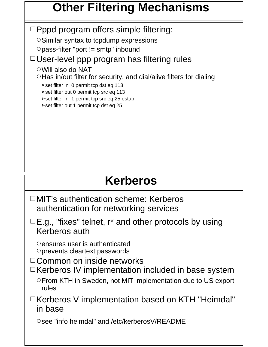### **Other Filtering Mechanisms**

 $\Box$ Pppd program offers simple filtering:

O Similar syntax to tcpdump expressions

 $\circ$  pass-filter "port != smtp" inbound

 $\Box$ User-level ppp program has filtering rules

Will also do NAT

 $\circ$  Has in/out filter for security, and dial/alive filters for dialing

**>set filter in 0 permit tcp dst eq 113** 

set filter out 0 permit tcp src eq 113

 $\triangleright$  set filter in 1 permit tcp src eq 25 estab

 $\triangleright$  set filter out 1 permit tcp dst eq 25

#### **Kerberos**

□MIT's authentication scheme: Kerberos authentication for networking services

 $\Box$  E.g., "fixes" telnet, r\* and other protocols by using Kerberos auth

 $\circ$  ensures user is authenticated prevents cleartext passwords

□ Common on inside networks

 $\Box$ Kerberos IV implementation included in base system From KTH in Sweden, not MIT implementation due to US export rules

□Kerberos V implementation based on KTH "Heimdal" in base

Osee "info heimdal" and /etc/kerberosV/README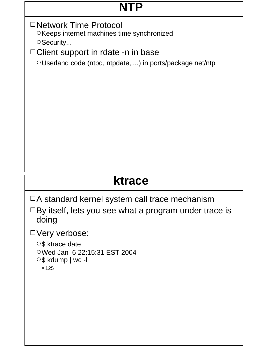### **NTP**

□Network Time Protocol

OKeeps internet machines time synchronized OSecurity...

□ Client support in rdate -n in base

Userland code (ntpd, ntpdate, ...) in ports/package net/ntp

### **ktrace**

 $\Box A$  standard kernel system call trace mechanism

 $\Box$  By itself, lets you see what a program under trace is doing

Very verbose:

○ \$ktrace date

Wed Jan 6 22:15:31 EST 2004

 $\circ$ \$ kdump | wc -l

 $>125$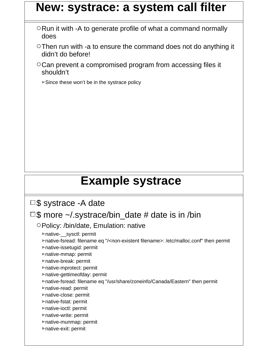#### **New: systrace: a system call filter**

- $\circ$ Run it with -A to generate profile of what a command normally does
- Then run with -a to ensure the command does not do anything it didn't do before!
- Can prevent a compromised program from accessing files it shouldn't

 $\triangleright$  Since these won't be in the systrace policy

#### **Example systrace**

□\$ systrace -A date

#### $\Box$ \$ more  $\sim$ / systrace/bin\_date # date is in /bin

Policy: /bin/date, Emulation: native

native-\_\_sysctl: permit

native-fsread: filename eq "/<non-existent filename>: /etc/malloc.conf" then permit

native-issetugid: permit

native-mmap: permit native-break: permit

native-mprotect: permit

native-gettimeofday: permit

native-fsread: filename eq "/usr/share/zoneinfo/Canada/Eastern" then permit

native-read: permit

native-close: permit

native-fstat: permit native-ioctl: permit

- native-write: permit
- native-munmap: permit
- native-exit: permit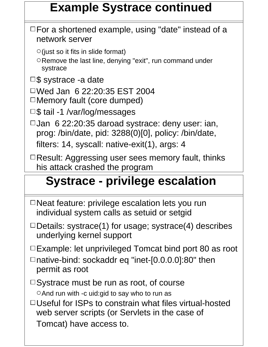### **Example Systrace continued**

 $\Box$  For a shortened example, using "date" instead of a network server

 $\circ$  (just so it fits in slide format)

ORemove the last line, denying "exit", run command under systrace

 $\square$ \$ systrace -a date

Wed Jan 6 22:20:35 EST 2004  $\Box$  Memory fault (core dumped)

 $\square$ \$ tail -1 /var/log/messages

 $\Box$ Jan 6 22:20:35 daroad systrace: deny user: ian, prog: /bin/date, pid: 3288(0)[0], policy: /bin/date, filters: 14, syscall: native-exit(1), args: 4

 $\Box$  Result: Aggressing user sees memory fault, thinks his attack crashed the program

#### **Administrator see Systems Constrate Systems** Systems and the System of System in System and System System to De something in its policy files in its policy files in its policy files in its policy files in its policy files in its policy of  $\mathbb{R}^n$ . **Systrace - privilege escalation**

- $\Box$  Neat feature: privilege escalation lets you run individual system calls as setuid or setgid
- $\Box$  Details: systrace(1) for usage; systrace(4) describes underlying kernel support

 $\Box$  Example: let unprivileged Tomcat bind port 80 as root

□native-bind: sockaddr eq "inet-[0.0.0.0]:80" then permit as root

 $\Box$  Systrace must be run as root, of course O And run with -c uid: gid to say who to run as

□ Useful for ISPs to constrain what files virtual-hosted web server scripts (or Servlets in the case of Tomcat) have access to.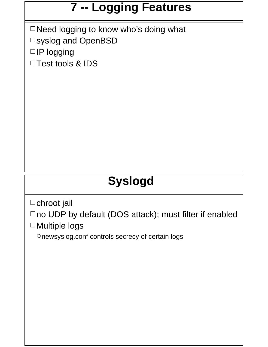## **7 -- Logging Features**

□ Need logging to know who's doing what syslog and OpenBSD □IP logging □Test tools & IDS

## **Syslogd**

 $\Box$ chroot jail

□no UDP by default (DOS attack); must filter if enabled □Multiple logs

newsyslog.conf controls secrecy of certain logs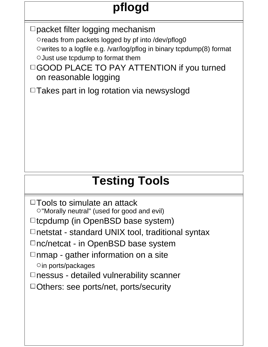# **pflogd**

□ packet filter logging mechanism

Oreads from packets logged by pf into /dev/pflog0

 $\circ$  writes to a logfile e.g. /var/log/pflog in binary tcpdump(8) format  $\circ$  Just use tcpdump to format them

□GOOD PLACE TO PAY ATTENTION if you turned on reasonable logging

 $\Box$  Takes part in log rotation via newsyslogd

## **Testing Tools**

 $\Box$  Tools to simulate an attack "Morally neutral" (used for good and evil)  $\Box$ tcpdump (in OpenBSD base system)  $\Box$ netstat - standard UNIX tool, traditional syntax  $\Box$ nc/netcat - in OpenBSD base system  $\Box$ nmap - gather information on a site  $\circ$  in ports/packages  $\Box$  nessus - detailed vulnerability scanner □Others: see ports/net, ports/security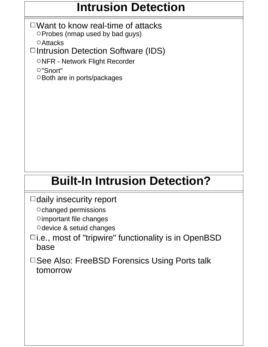#### **Intrusion Detection**

 $\Box$  Want to know real-time of attacks  $\circ$  Probes (nmap used by bad guys)

**O** Attacks

 $\Box$ Intrusion Detection Software (IDS)

ONFR - Network Flight Recorder

"Snort"

O Both are in ports/packages

## **Built-In Intrusion Detection?**

 $\Box$  daily insecurity report

Ochanged permissions

Oimportant file changes

Odevice & setuid changes

- $\Box$ i.e., most of "tripwire" functionality is in OpenBSD base
- □ See Also: FreeBSD Forensics Using Ports talk tomorrow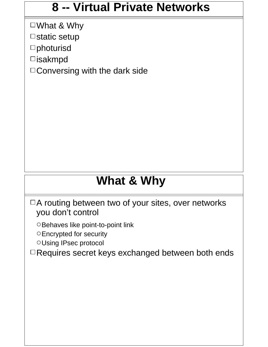#### **8 -- Virtual Private Networks**

What & Why  $\Box$ static setup

□photurisd

□isakmpd

□ Conversing with the dark side

### **What & Why**

□A routing between two of your sites, over networks you don't control

OBehaves like point-to-point link

Encrypted for security

Using IPsec protocol

 $\Box$  Requires secret keys exchanged between both ends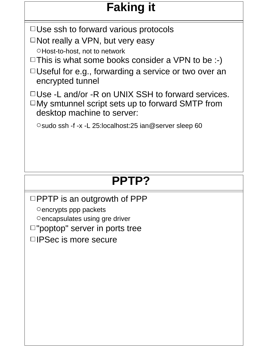## **Faking it**

 $\Box$  Use ssh to forward various protocols

 $\Box$  Not really a VPN, but very easy

OHost-to-host, not to network

 $\Box$  This is what some books consider a VPN to be :-)

 $\Box$ Useful for e.g., forwarding a service or two over an encrypted tunnel

 $\Box$ Use -L and/or -R on UNIX SSH to forward services.

 $\Box$ My smtunnel script sets up to forward SMTP from desktop machine to server:

 $\circ$  sudo ssh -f -x -L 25:localhost:25 ian@server sleep 60

## **PPTP?**

 $\Box$ PPTP is an outgrowth of PPP

 $\circ$  encrypts ppp packets

Oencapsulates using gre driver

 $\Box$ "poptop" server in ports tree

 $\Box$  IPSec is more secure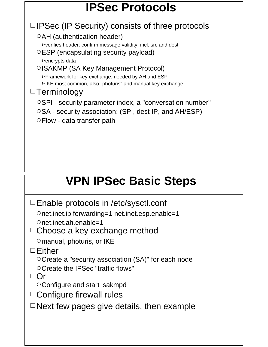## **IPSec Protocols**

 $\Box$  IPSec (IP Security) consists of three protocols OAH (authentication header) verifies header: confirm message validity, incl. src and dest ESP (encapsulating security payload) **⊳encrypts data** OISAKMP (SA Key Management Protocol) Framework for key exchange, needed by AH and ESP IKE most common, also "photuris" and manual key exchange  $\Box$ Terminology OSPI - security parameter index, a "conversation number"  $\circ$ SA - security association: (SPI, dest IP, and AH/ESP) Flow - data transfer path

## **VPN IPSec Basic Steps**

Enable protocols in /etc/sysctl.conf

net.inet.ip.forwarding=1 net.inet.esp.enable=1

net.inet.ah.enable=1

□ Choose a key exchange method

Omanual, photuris, or IKE

Either

Create a "security association (SA)" for each node

Create the IPSec "traffic flows"

 $\Box$ Or

Configure and start isakmpd

□ Configure firewall rules

 $\Box$ Next few pages give details, then example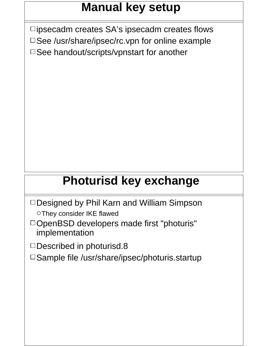### **Manual key setup**

 $\square$ ipsecadm creates SA's ipsecadm creates flows □See /usr/share/ipsec/rc.vpn for online example □ See handout/scripts/vpnstart for another

### **Photurisd key exchange**

- □Designed by Phil Karn and William Simpson They consider IKE flawed
- DOpenBSD developers made first "photuris" implementation

 $\Box$ Described in photurisd.8

□ Sample file /usr/share/ipsec/photuris.startup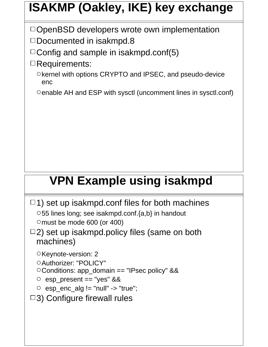## **ISAKMP (Oakley, IKE) key exchange**

 $\Box$ OpenBSD developers wrote own implementation

 $\square$ Documented in isakmpd.8

 $\Box$  Config and sample in isakmpd.conf(5)

Requirements:

Okernel with options CRYPTO and IPSEC, and pseudo-device enc

enable AH and ESP with sysctl (uncomment lines in sysctl.conf)

### **VPN Example using isakmpd**

```
\Box1) set up isakmpd.conf files for both machines
 55 lines long; see isakmpd.conf.{a,b} in handout
 Omust be mode 600 (or 400)
```
 $\Box$ 2) set up isakmpd.policy files (same on both machines)

OKeynote-version: 2

O Authorizer: "POLICY"

Conditions: app\_domain == "IPsec policy" &&

 $\circ$  esp present == "yes" &&

```
\circ esp_enc_alg != "null" -> "true";
```
□3) Configure firewall rules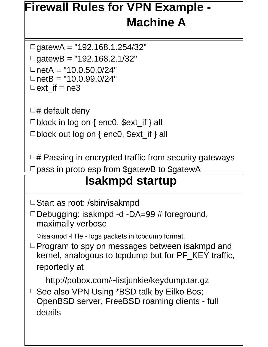## **Firewall Rules for VPN Example - Machine A**

 $\Box$ gatewA = "192.168.1.254/32"  $\Box$ gatewB = "192.168.2.1/32"  $\Box$ netA = "10.0.50.0/24"  $\Box$ netB = "10.0.99.0/24"  $\Box$ ext\_if = ne3

 $\Box$ # default deny  $\Box$ block in log on { enc0, \$ext\_if } all  $\Box$ block out log on { enc0, \$ext\_if } all

 $\Box$ # Passing in encrypted traffic from security gateways □ pass in proto esp from \$gatewB to \$gatewA

#### **Isakmpd startup**

```
Start as root: /sbin/isakmpd
```

```
pass in on enc0 from $netB to $netA
Debugging: isakmpd -d -DA=99 # foreground, 
pass out on enc0 from $netA to $netB
maximally verbose
```
 $\circ$  isakmpd -I file - logs packets in tcpdump format.

. Togram to opy on moodagoo botwoon foarmipa<br>karnal analogous to tendumn but for DE KEV tr nomen, an<br>gancydd dh  $\Box$  Program to spy on messages between isakmpd and kernel, analogous to tcpdump but for PF\_KEY traffic, reportedly at

parties in  $\frac{1}{2}$ http://pobox.com/~listjunkie/keydump.tar.gz

pass out of the semigraph camera processes.<br>OpenBSD server FreeBSD roaming clients - full  $5000$   $\sigma$   $\sigma$   $\sigma$   $\sigma$   $\sigma$   $\sigma$   $\sigma$  $\square$  See also VPN Using \*BSD talk by Eilko Bos; OpenBSD server, FreeBSD roaming clients - full details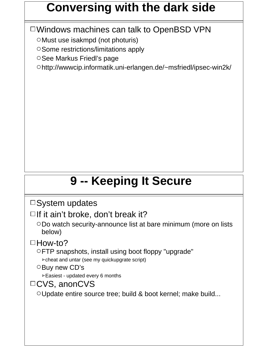#### **Conversing with the dark side**

Windows machines can talk to OpenBSD VPN

Must use isakmpd (not photuris)

Some restrictions/limitations apply

OSee Markus Friedl's page

http://wwwcip.informatik.uni-erlangen.de/~msfriedl/ipsec-win2k/

## **9 -- Keeping It Secure**

 $\square$  System updates

 $\Box$  If it ain't broke, don't break it?

ODo watch security-announce list at bare minimum (more on lists below)

 $\Box$ How-to?

FTP snapshots, install using boot floppy "upgrade"

 $\triangleright$  cheat and untar (see my quickupgrate script)

O Buy new CD's

Easiest - updated every 6 months

#### □CVS, anonCVS

OUpdate entire source tree; build & boot kernel; make build...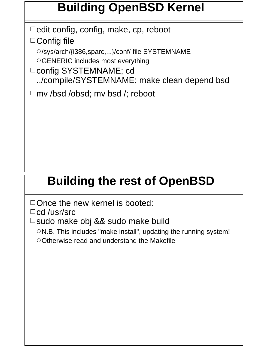## **Building OpenBSD Kernel**

 $\Box$  edit config, config, make, cp, reboot  $\Box$ Config file

/sys/arch/{i386,sparc,...}/conf/ file SYSTEMNAME GENERIC includes most everything

□ config SYSTEMNAME; cd ../compile/SYSTEMNAME; make clean depend bsd

mv /bsd /obsd; mv bsd /; reboot

## **Building the rest of OpenBSD**

 $\Box$  Once the new kernel is booted:

 $\Box$ cd /usr/src

□ sudo make obj && sudo make build

 $\circ$  N.B. This includes "make install", updating the running system! Otherwise read and understand the Makefile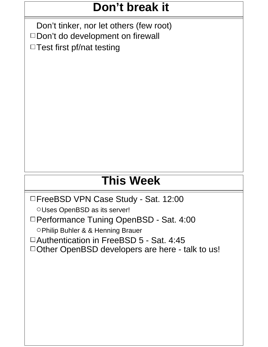#### **Don't break it**

Don't tinker, nor let others (few root)  $\square$  Don't do development on firewall  $\Box$  Test first pf/nat testing

## **This Week**

□FreeBSD VPN Case Study - Sat. 12:00

OUses OpenBSD as its server!

□ Performance Tuning OpenBSD - Sat. 4:00

OPhilip Buhler & & Henning Brauer

Authentication in FreeBSD 5 - Sat. 4:45

□ Other OpenBSD developers are here - talk to us!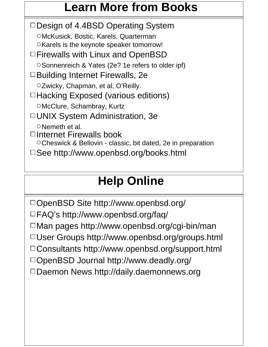#### **Learn More from Books**

 $\Box$ Design of 4.4BSD Operating System McKusick, Bostic, Karels, Quarterman OKarels is the keynote speaker tomorrow! Firewalls with Linux and OpenBSD O Sonnenreich & Yates (2e? 1e refers to older ipf) □Building Internet Firewalls, 2e OZwicky, Chapman, et al, O'Reilly.  $\Box$  Hacking Exposed (various editions) OMcClure, Schambray, Kurtz UNIX System Administration, 3e O Nemeth et al.  $\Box$ Internet Firewalls book Cheswick & Bellovin - classic, bit dated, 2e in preparation □See http://www.openbsd.org/books.html

## **Help Online**

□OpenBSD Site http://www.openbsd.org/  $\square$  FAQ's http://www.openbsd.org/faq/  $\Box$ Man pages http://www.openbsd.org/cgi-bin/man User Groups http://www.openbsd.org/groups.html Consultants http://www.openbsd.org/support.html OpenBSD Journal http://www.deadly.org/ □Daemon News http://daily.daemonnews.org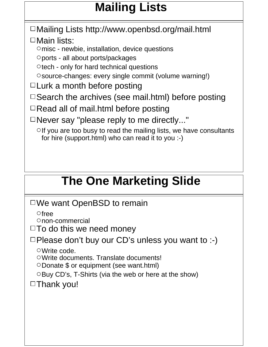## **Mailing Lists**

Mailing Lists http://www.openbsd.org/mail.html □Main lists:

 $\circ$  misc - newbie, installation, device questions

ports - all about ports/packages

 $\circ$  tech - only for hard technical questions

source-changes: every single commit (volume warning!)

 $\Box$  Lurk a month before posting

 $\Box$  Search the archives (see mail.html) before posting

 $\Box$  Read all of mail.html before posting

 $\Box$  Never say "please reply to me directly..."

 $\circ$  If you are too busy to read the mailing lists, we have consultants for hire (support.html) who can read it to you :-)

## **The One Marketing Slide**

We want OpenBSD to remain

 $\circ$  free

non-commercial

 $\Box$  To do this we need money

 $\Box$  Please don't buy our CD's unless you want to :-)

Write code.

Write documents. Translate documents!

 $\circ$  Donate \$ or equipment (see want.html)

 $\circ$ Buy CD's, T-Shirts (via the web or here at the show)

 $\Box$ Thank you!